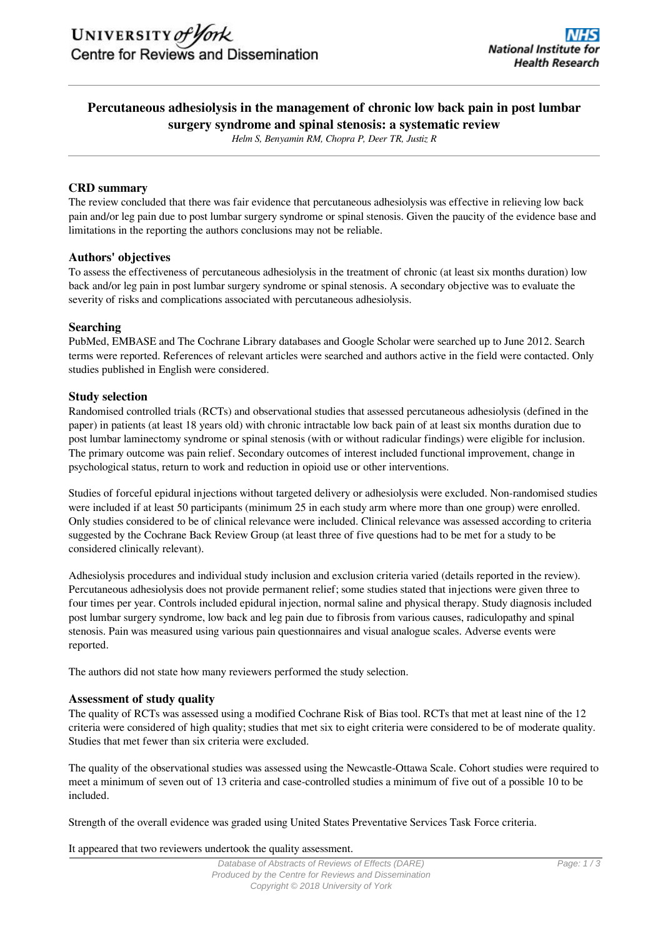# **Percutaneous adhesiolysis in the management of chronic low back pain in post lumbar surgery syndrome and spinal stenosis: a systematic review**

*Helm S, Benyamin RM, Chopra P, Deer TR, Justiz R*

# **CRD summary**

The review concluded that there was fair evidence that percutaneous adhesiolysis was effective in relieving low back pain and/or leg pain due to post lumbar surgery syndrome or spinal stenosis. Given the paucity of the evidence base and limitations in the reporting the authors conclusions may not be reliable.

### **Authors' objectives**

To assess the effectiveness of percutaneous adhesiolysis in the treatment of chronic (at least six months duration) low back and/or leg pain in post lumbar surgery syndrome or spinal stenosis. A secondary objective was to evaluate the severity of risks and complications associated with percutaneous adhesiolysis.

### **Searching**

PubMed, EMBASE and The Cochrane Library databases and Google Scholar were searched up to June 2012. Search terms were reported. References of relevant articles were searched and authors active in the field were contacted. Only studies published in English were considered.

### **Study selection**

Randomised controlled trials (RCTs) and observational studies that assessed percutaneous adhesiolysis (defined in the paper) in patients (at least 18 years old) with chronic intractable low back pain of at least six months duration due to post lumbar laminectomy syndrome or spinal stenosis (with or without radicular findings) were eligible for inclusion. The primary outcome was pain relief. Secondary outcomes of interest included functional improvement, change in psychological status, return to work and reduction in opioid use or other interventions.

Studies of forceful epidural injections without targeted delivery or adhesiolysis were excluded. Non-randomised studies were included if at least 50 participants (minimum 25 in each study arm where more than one group) were enrolled. Only studies considered to be of clinical relevance were included. Clinical relevance was assessed according to criteria suggested by the Cochrane Back Review Group (at least three of five questions had to be met for a study to be considered clinically relevant).

Adhesiolysis procedures and individual study inclusion and exclusion criteria varied (details reported in the review). Percutaneous adhesiolysis does not provide permanent relief; some studies stated that injections were given three to four times per year. Controls included epidural injection, normal saline and physical therapy. Study diagnosis included post lumbar surgery syndrome, low back and leg pain due to fibrosis from various causes, radiculopathy and spinal stenosis. Pain was measured using various pain questionnaires and visual analogue scales. Adverse events were reported.

The authors did not state how many reviewers performed the study selection.

### **Assessment of study quality**

The quality of RCTs was assessed using a modified Cochrane Risk of Bias tool. RCTs that met at least nine of the 12 criteria were considered of high quality; studies that met six to eight criteria were considered to be of moderate quality. Studies that met fewer than six criteria were excluded.

The quality of the observational studies was assessed using the Newcastle-Ottawa Scale. Cohort studies were required to meet a minimum of seven out of 13 criteria and case-controlled studies a minimum of five out of a possible 10 to be included.

Strength of the overall evidence was graded using United States Preventative Services Task Force criteria.

It appeared that two reviewers undertook the quality assessment.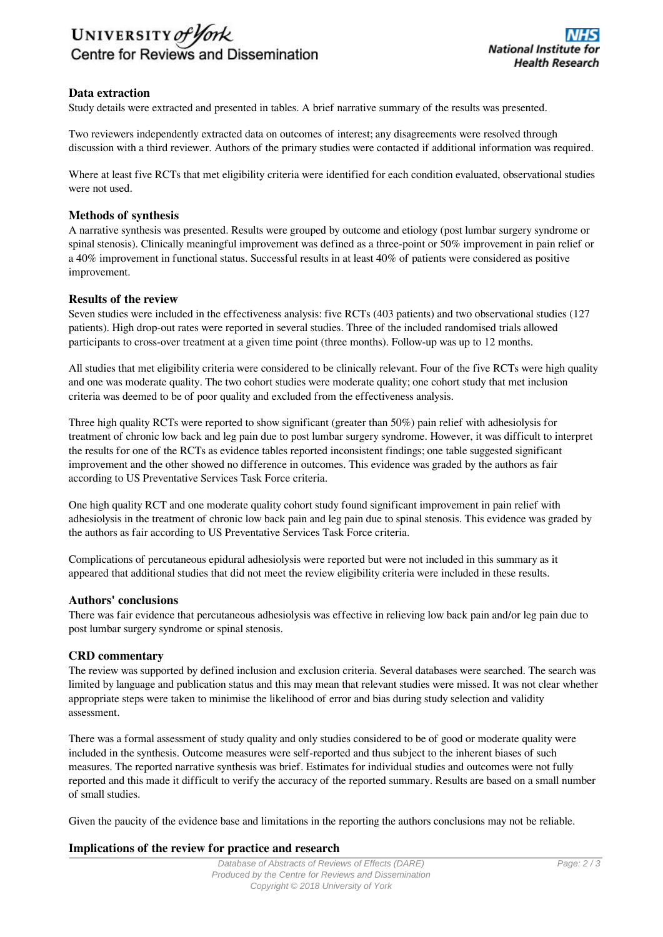

# **Data extraction**

Study details were extracted and presented in tables. A brief narrative summary of the results was presented.

Two reviewers independently extracted data on outcomes of interest; any disagreements were resolved through discussion with a third reviewer. Authors of the primary studies were contacted if additional information was required.

Where at least five RCTs that met eligibility criteria were identified for each condition evaluated, observational studies were not used.

#### **Methods of synthesis**

A narrative synthesis was presented. Results were grouped by outcome and etiology (post lumbar surgery syndrome or spinal stenosis). Clinically meaningful improvement was defined as a three-point or 50% improvement in pain relief or a 40% improvement in functional status. Successful results in at least 40% of patients were considered as positive improvement.

#### **Results of the review**

Seven studies were included in the effectiveness analysis: five RCTs (403 patients) and two observational studies (127 patients). High drop-out rates were reported in several studies. Three of the included randomised trials allowed participants to cross-over treatment at a given time point (three months). Follow-up was up to 12 months.

All studies that met eligibility criteria were considered to be clinically relevant. Four of the five RCTs were high quality and one was moderate quality. The two cohort studies were moderate quality; one cohort study that met inclusion criteria was deemed to be of poor quality and excluded from the effectiveness analysis.

Three high quality RCTs were reported to show significant (greater than 50%) pain relief with adhesiolysis for treatment of chronic low back and leg pain due to post lumbar surgery syndrome. However, it was difficult to interpret the results for one of the RCTs as evidence tables reported inconsistent findings; one table suggested significant improvement and the other showed no difference in outcomes. This evidence was graded by the authors as fair according to US Preventative Services Task Force criteria.

One high quality RCT and one moderate quality cohort study found significant improvement in pain relief with adhesiolysis in the treatment of chronic low back pain and leg pain due to spinal stenosis. This evidence was graded by the authors as fair according to US Preventative Services Task Force criteria.

Complications of percutaneous epidural adhesiolysis were reported but were not included in this summary as it appeared that additional studies that did not meet the review eligibility criteria were included in these results.

#### **Authors' conclusions**

There was fair evidence that percutaneous adhesiolysis was effective in relieving low back pain and/or leg pain due to post lumbar surgery syndrome or spinal stenosis.

### **CRD commentary**

The review was supported by defined inclusion and exclusion criteria. Several databases were searched. The search was limited by language and publication status and this may mean that relevant studies were missed. It was not clear whether appropriate steps were taken to minimise the likelihood of error and bias during study selection and validity assessment.

There was a formal assessment of study quality and only studies considered to be of good or moderate quality were included in the synthesis. Outcome measures were self-reported and thus subject to the inherent biases of such measures. The reported narrative synthesis was brief. Estimates for individual studies and outcomes were not fully reported and this made it difficult to verify the accuracy of the reported summary. Results are based on a small number of small studies.

Given the paucity of the evidence base and limitations in the reporting the authors conclusions may not be reliable.

### **Implications of the review for practice and research**